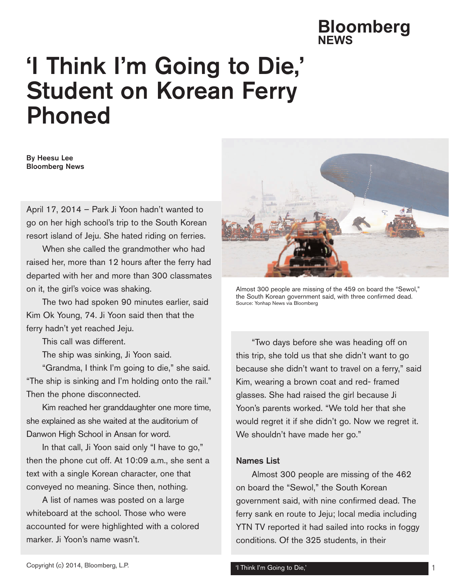# 'I Think I'm Going to Die,' Student on Korean Ferry Phoned

By Heesu Lee Bloomberg News

April 17, 2014 – Park Ji Yoon hadn't wanted to go on her high school's trip to the South Korean resort island of Jeju. She hated riding on ferries.

When she called the grandmother who had raised her, more than 12 hours after the ferry had departed with her and more than 300 classmates on it, the girl's voice was shaking.

The two had spoken 90 minutes earlier, said Kim Ok Young, 74. Ji Yoon said then that the ferry hadn't yet reached Jeju.

This call was different.

The ship was sinking, Ji Yoon said.

"Grandma, I think I'm going to die," she said. "The ship is sinking and I'm holding onto the rail." Then the phone disconnected.

Kim reached her granddaughter one more time, she explained as she waited at the auditorium of Danwon High School in Ansan for word.

In that call, Ji Yoon said only "I have to go," then the phone cut off. At 10:09 a.m., she sent a text with a single Korean character, one that conveyed no meaning. Since then, nothing.

A list of names was posted on a large whiteboard at the school. Those who were accounted for were highlighted with a colored marker. Ji Yoon's name wasn't.



Almost 300 people are missing of the 459 on board the "Sewol," the South Korean government said, with three confirmed dead. Source: Yonhap News via Bloomberg

"Two days before she was heading off on this trip, she told us that she didn't want to go because she didn't want to travel on a ferry," said Kim, wearing a brown coat and red- framed glasses. She had raised the girl because Ji Yoon's parents worked. "We told her that she would regret it if she didn't go. Now we regret it. We shouldn't have made her go."

#### Names List

Almost 300 people are missing of the 462 on board the "Sewol," the South Korean government said, with nine confirmed dead. The ferry sank en route to Jeju; local media including YTN TV reported it had sailed into rocks in foggy conditions. Of the 325 students, in their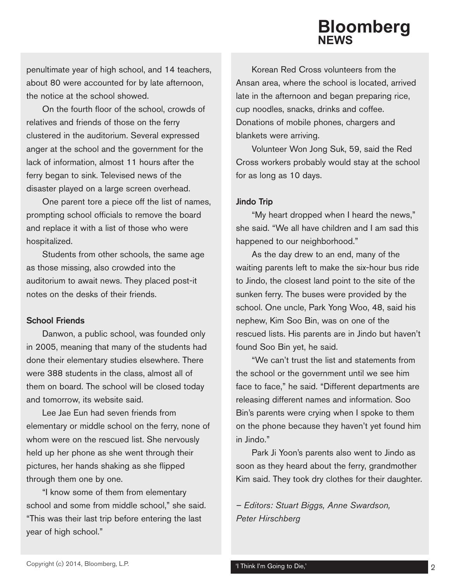penultimate year of high school, and 14 teachers, about 80 were accounted for by late afternoon, the notice at the school showed.

On the fourth floor of the school, crowds of relatives and friends of those on the ferry clustered in the auditorium. Several expressed anger at the school and the government for the lack of information, almost 11 hours after the ferry began to sink. Televised news of the disaster played on a large screen overhead.

One parent tore a piece off the list of names, prompting school officials to remove the board and replace it with a list of those who were hospitalized.

Students from other schools, the same age as those missing, also crowded into the auditorium to await news. They placed post-it notes on the desks of their friends.

#### School Friends

Danwon, a public school, was founded only in 2005, meaning that many of the students had done their elementary studies elsewhere. There were 388 students in the class, almost all of them on board. The school will be closed today and tomorrow, its website said.

Lee Jae Eun had seven friends from elementary or middle school on the ferry, none of whom were on the rescued list. She nervously held up her phone as she went through their pictures, her hands shaking as she flipped through them one by one.

"I know some of them from elementary school and some from middle school," she said. "This was their last trip before entering the last year of high school."

Korean Red Cross volunteers from the Ansan area, where the school is located, arrived late in the afternoon and began preparing rice, cup noodles, snacks, drinks and coffee. Donations of mobile phones, chargers and blankets were arriving.

Volunteer Won Jong Suk, 59, said the Red Cross workers probably would stay at the school for as long as 10 days.

#### Jindo Trip

"My heart dropped when I heard the news," she said. "We all have children and I am sad this happened to our neighborhood."

As the day drew to an end, many of the waiting parents left to make the six-hour bus ride to Jindo, the closest land point to the site of the sunken ferry. The buses were provided by the school. One uncle, Park Yong Woo, 48, said his nephew, Kim Soo Bin, was on one of the rescued lists. His parents are in Jindo but haven't found Soo Bin yet, he said.

"We can't trust the list and statements from the school or the government until we see him face to face," he said. "Different departments are releasing different names and information. Soo Bin's parents were crying when I spoke to them on the phone because they haven't yet found him in Jindo."

Park Ji Yoon's parents also went to Jindo as soon as they heard about the ferry, grandmother Kim said. They took dry clothes for their daughter.

– Editors: Stuart Biggs, Anne Swardson, Peter Hirschberg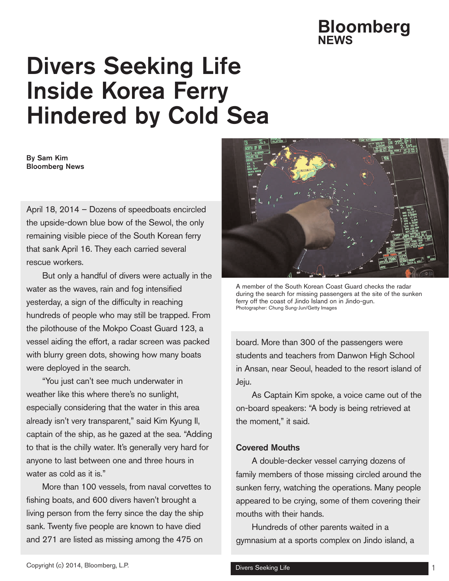# Divers Seeking Life Inside Korea Ferry Hindered by Cold Sea

By Sam Kim Bloomberg News

April 18, 2014 – Dozens of speedboats encircled the upside-down blue bow of the Sewol, the only remaining visible piece of the South Korean ferry that sank April 16. They each carried several rescue workers.

But only a handful of divers were actually in the water as the waves, rain and fog intensified yesterday, a sign of the difficulty in reaching hundreds of people who may still be trapped. From the pilothouse of the Mokpo Coast Guard 123, a vessel aiding the effort, a radar screen was packed with blurry green dots, showing how many boats were deployed in the search.

"You just can't see much underwater in weather like this where there's no sunlight, especially considering that the water in this area already isn't very transparent," said Kim Kyung Il, captain of the ship, as he gazed at the sea. "Adding to that is the chilly water. It's generally very hard for anyone to last between one and three hours in water as cold as it is."

More than 100 vessels, from naval corvettes to fishing boats, and 600 divers haven't brought a living person from the ferry since the day the ship sank. Twenty five people are known to have died and 271 are listed as missing among the 475 on



A member of the South Korean Coast Guard checks the radar during the search for missing passengers at the site of the sunken ferry off the coast of Jindo Island on in Jindo-gun. Photographer: Chung Sung-Jun/Getty Images

board. More than 300 of the passengers were students and teachers from Danwon High School in Ansan, near Seoul, headed to the resort island of Jeju.

As Captain Kim spoke, a voice came out of the on-board speakers: "A body is being retrieved at the moment," it said.

#### Covered Mouths

A double-decker vessel carrying dozens of family members of those missing circled around the sunken ferry, watching the operations. Many people appeared to be crying, some of them covering their mouths with their hands.

Hundreds of other parents waited in a gymnasium at a sports complex on Jindo island, a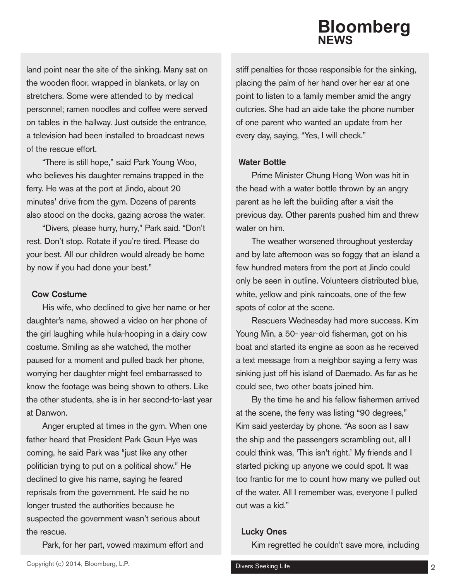land point near the site of the sinking. Many sat on the wooden floor, wrapped in blankets, or lay on stretchers. Some were attended to by medical personnel; ramen noodles and coffee were served on tables in the hallway. Just outside the entrance, a television had been installed to broadcast news of the rescue effort.

"There is still hope," said Park Young Woo, who believes his daughter remains trapped in the ferry. He was at the port at Jindo, about 20 minutes' drive from the gym. Dozens of parents also stood on the docks, gazing across the water.

"Divers, please hurry, hurry," Park said. "Don't rest. Don't stop. Rotate if you're tired. Please do your best. All our children would already be home by now if you had done your best."

#### Cow Costume

His wife, who declined to give her name or her daughter's name, showed a video on her phone of the girl laughing while hula-hooping in a dairy cow costume. Smiling as she watched, the mother paused for a moment and pulled back her phone, worrying her daughter might feel embarrassed to know the footage was being shown to others. Like the other students, she is in her second-to-last year at Danwon.

Anger erupted at times in the gym. When one father heard that President Park Geun Hye was coming, he said Park was "just like any other politician trying to put on a political show." He declined to give his name, saying he feared reprisals from the government. He said he no longer trusted the authorities because he suspected the government wasn't serious about the rescue.

Park, for her part, vowed maximum effort and

stiff penalties for those responsible for the sinking, placing the palm of her hand over her ear at one point to listen to a family member amid the angry outcries. She had an aide take the phone number of one parent who wanted an update from her every day, saying, "Yes, I will check."

#### Water Bottle

Prime Minister Chung Hong Won was hit in the head with a water bottle thrown by an angry parent as he left the building after a visit the previous day. Other parents pushed him and threw water on him.

The weather worsened throughout yesterday and by late afternoon was so foggy that an island a few hundred meters from the port at Jindo could only be seen in outline. Volunteers distributed blue, white, yellow and pink raincoats, one of the few spots of color at the scene.

Rescuers Wednesday had more success. Kim Young Min, a 50- year-old fisherman, got on his boat and started its engine as soon as he received a text message from a neighbor saying a ferry was sinking just off his island of Daemado. As far as he could see, two other boats joined him.

By the time he and his fellow fishermen arrived at the scene, the ferry was listing "90 degrees," Kim said yesterday by phone. "As soon as I saw the ship and the passengers scrambling out, all I could think was, 'This isn't right.' My friends and I started picking up anyone we could spot. It was too frantic for me to count how many we pulled out of the water. All I remember was, everyone I pulled out was a kid."

#### Lucky Ones

Kim regretted he couldn't save more, including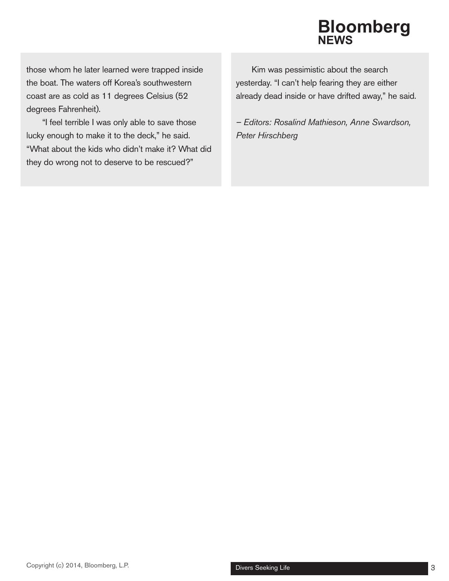those whom he later learned were trapped inside the boat. The waters off Korea's southwestern coast are as cold as 11 degrees Celsius (52 degrees Fahrenheit).

"I feel terrible I was only able to save those lucky enough to make it to the deck," he said. "What about the kids who didn't make it? What did they do wrong not to deserve to be rescued?"

Kim was pessimistic about the search yesterday. "I can't help fearing they are either already dead inside or have drifted away," he said.

– Editors: Rosalind Mathieson, Anne Swardson, Peter Hirschberg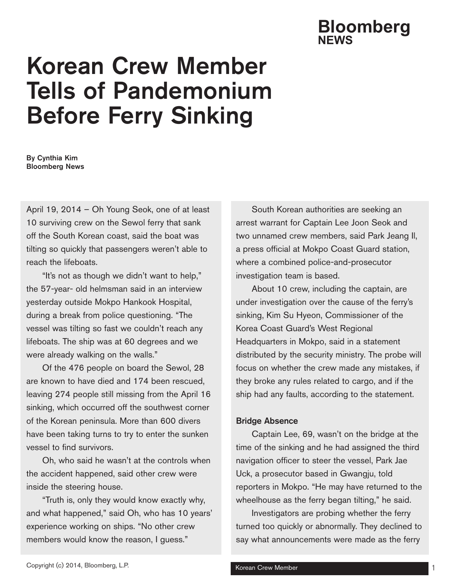# Korean Crew Member Tells of Pandemonium Before Ferry Sinking

By Cynthia Kim Bloomberg News

April 19, 2014 – Oh Young Seok, one of at least 10 surviving crew on the Sewol ferry that sank off the South Korean coast, said the boat was tilting so quickly that passengers weren't able to reach the lifeboats.

"It's not as though we didn't want to help," the 57-year- old helmsman said in an interview yesterday outside Mokpo Hankook Hospital, during a break from police questioning. "The vessel was tilting so fast we couldn't reach any lifeboats. The ship was at 60 degrees and we were already walking on the walls."

Of the 476 people on board the Sewol, 28 are known to have died and 174 been rescued, leaving 274 people still missing from the April 16 sinking, which occurred off the southwest corner of the Korean peninsula. More than 600 divers have been taking turns to try to enter the sunken vessel to find survivors.

Oh, who said he wasn't at the controls when the accident happened, said other crew were inside the steering house.

"Truth is, only they would know exactly why, and what happened," said Oh, who has 10 years' experience working on ships. "No other crew members would know the reason, I guess."

South Korean authorities are seeking an arrest warrant for Captain Lee Joon Seok and two unnamed crew members, said Park Jeang Il, a press official at Mokpo Coast Guard station, where a combined police-and-prosecutor investigation team is based.

About 10 crew, including the captain, are under investigation over the cause of the ferry's sinking, Kim Su Hyeon, Commissioner of the Korea Coast Guard's West Regional Headquarters in Mokpo, said in a statement distributed by the security ministry. The probe will focus on whether the crew made any mistakes, if they broke any rules related to cargo, and if the ship had any faults, according to the statement.

#### Bridge Absence

Captain Lee, 69, wasn't on the bridge at the time of the sinking and he had assigned the third navigation officer to steer the vessel, Park Jae Uck, a prosecutor based in Gwangju, told reporters in Mokpo. "He may have returned to the wheelhouse as the ferry began tilting," he said.

Investigators are probing whether the ferry turned too quickly or abnormally. They declined to say what announcements were made as the ferry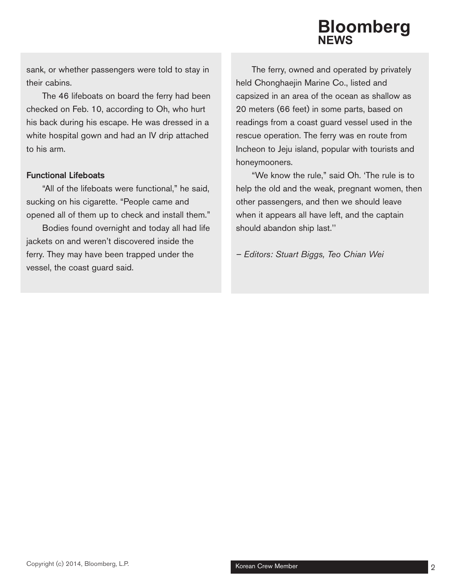sank, or whether passengers were told to stay in their cabins.

The 46 lifeboats on board the ferry had been checked on Feb. 10, according to Oh, who hurt his back during his escape. He was dressed in a white hospital gown and had an IV drip attached to his arm.

#### Functional Lifeboats

"All of the lifeboats were functional," he said, sucking on his cigarette. "People came and opened all of them up to check and install them."

Bodies found overnight and today all had life jackets on and weren't discovered inside the ferry. They may have been trapped under the vessel, the coast guard said.

The ferry, owned and operated by privately held Chonghaejin Marine Co., listed and capsized in an area of the ocean as shallow as 20 meters (66 feet) in some parts, based on readings from a coast guard vessel used in the rescue operation. The ferry was en route from Incheon to Jeju island, popular with tourists and honeymooners.

"We know the rule," said Oh. 'The rule is to help the old and the weak, pregnant women, then other passengers, and then we should leave when it appears all have left, and the captain should abandon ship last.''

– Editors: Stuart Biggs, Teo Chian Wei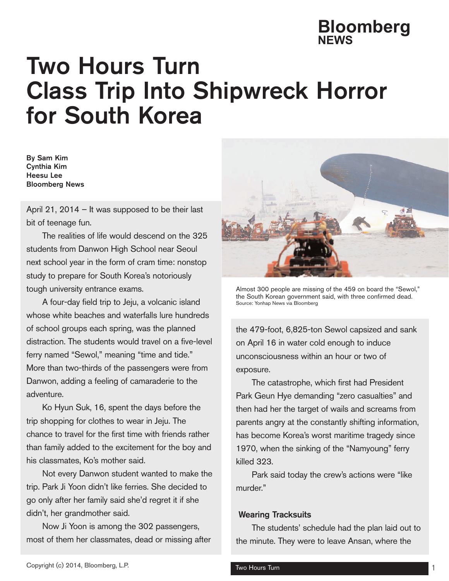# Two Hours Turn Class Trip Into Shipwreck Horror for South Korea

By Sam Kim Cynthia Kim Heesu Lee Bloomberg News

April 21, 2014 – It was supposed to be their last bit of teenage fun.

The realities of life would descend on the 325 students from Danwon High School near Seoul next school year in the form of cram time: nonstop study to prepare for South Korea's notoriously tough university entrance exams.

A four-day field trip to Jeju, a volcanic island whose white beaches and waterfalls lure hundreds of school groups each spring, was the planned distraction. The students would travel on a five-level ferry named "Sewol," meaning "time and tide." More than two-thirds of the passengers were from Danwon, adding a feeling of camaraderie to the adventure.

Ko Hyun Suk, 16, spent the days before the trip shopping for clothes to wear in Jeju. The chance to travel for the first time with friends rather than family added to the excitement for the boy and his classmates, Ko's mother said.

Not every Danwon student wanted to make the trip. Park Ji Yoon didn't like ferries. She decided to go only after her family said she'd regret it if she didn't, her grandmother said.

Now Ji Yoon is among the 302 passengers, most of them her classmates, dead or missing after



Almost 300 people are missing of the 459 on board the "Sewol," the South Korean government said, with three confirmed dead. Source: Yonhap News via Bloomberg

the 479-foot, 6,825-ton Sewol capsized and sank on April 16 in water cold enough to induce unconsciousness within an hour or two of exposure.

The catastrophe, which first had President Park Geun Hye demanding "zero casualties" and then had her the target of wails and screams from parents angry at the constantly shifting information, has become Korea's worst maritime tragedy since 1970, when the sinking of the "Namyoung" ferry killed 323.

Park said today the crew's actions were "like murder."

#### Wearing Tracksuits

The students' schedule had the plan laid out to the minute. They were to leave Ansan, where the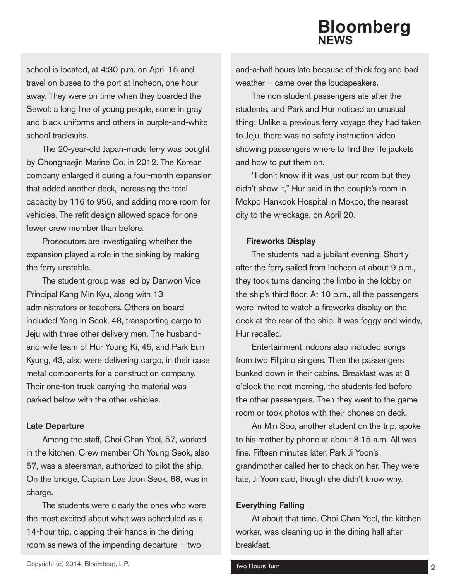school is located, at 4:30 p.m. on April 15 and travel on buses to the port at Incheon, one hour away. They were on time when they boarded the Sewol: a long line of young people, some in gray and black uniforms and others in purple-and-white school tracksuits.

The 20-year-old Japan-made ferry was bought by Chonghaejin Marine Co. in 2012. The Korean company enlarged it during a four-month expansion that added another deck, increasing the total capacity by 116 to 956, and adding more room for vehicles. The refit design allowed space for one fewer crew member than before.

Prosecutors are investigating whether the expansion played a role in the sinking by making the ferry unstable.

The student group was led by Danwon Vice Principal Kang Min Kyu, along with 13 administrators or teachers. Others on board included Yang In Seok, 48, transporting cargo to Jeju with three other delivery men. The husbandand-wife team of Hur Young Ki, 45, and Park Eun Kyung, 43, also were delivering cargo, in their case metal components for a construction company. Their one-ton truck carrying the material was parked below with the other vehicles.

#### Late Departure

Among the staff, Choi Chan Yeol, 57, worked in the kitchen. Crew member Oh Young Seok, also 57, was a steersman, authorized to pilot the ship. On the bridge, Captain Lee Joon Seok, 68, was in charge.

The students were clearly the ones who were the most excited about what was scheduled as a 14-hour trip, clapping their hands in the dining room as news of the impending departure – two-

The non-student passengers ate after the students, and Park and Hur noticed an unusual thing: Unlike a previous ferry voyage they had taken to Jeju, there was no safety instruction video showing passengers where to find the life jackets and how to put them on.

"I don't know if it was just our room but they didn't show it," Hur said in the couple's room in Mokpo Hankook Hospital in Mokpo, the nearest city to the wreckage, on April 20.

#### Fireworks Display

The students had a jubilant evening. Shortly after the ferry sailed from Incheon at about 9 p.m., they took turns dancing the limbo in the lobby on the ship's third floor. At 10 p.m., all the passengers were invited to watch a fireworks display on the deck at the rear of the ship. It was foggy and windy, Hur recalled.

Entertainment indoors also included songs from two Filipino singers. Then the passengers bunked down in their cabins. Breakfast was at 8 o'clock the next morning, the students fed before the other passengers. Then they went to the game room or took photos with their phones on deck.

An Min Soo, another student on the trip, spoke to his mother by phone at about 8:15 a.m. All was fine. Fifteen minutes later, Park Ji Yoon's grandmother called her to check on her. They were late, Ji Yoon said, though she didn't know why.

#### Everything Falling

At about that time, Choi Chan Yeol, the kitchen worker, was cleaning up in the dining hall after breakfast.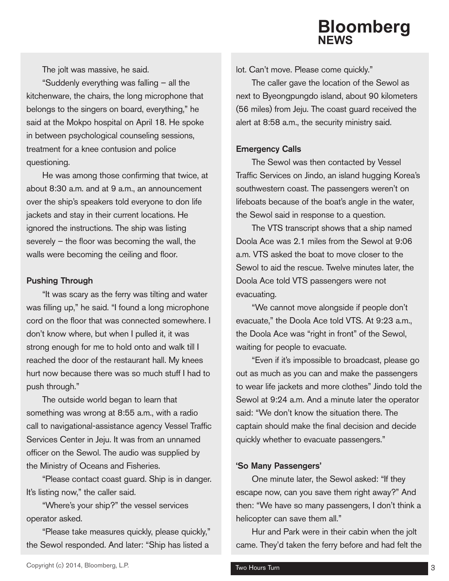The jolt was massive, he said.

"Suddenly everything was falling – all the kitchenware, the chairs, the long microphone that belongs to the singers on board, everything," he said at the Mokpo hospital on April 18. He spoke in between psychological counseling sessions, treatment for a knee contusion and police questioning.

He was among those confirming that twice, at about 8:30 a.m. and at 9 a.m., an announcement over the ship's speakers told everyone to don life jackets and stay in their current locations. He ignored the instructions. The ship was listing severely – the floor was becoming the wall, the walls were becoming the ceiling and floor.

#### Pushing Through

"It was scary as the ferry was tilting and water was filling up," he said. "I found a long microphone cord on the floor that was connected somewhere. I don't know where, but when I pulled it, it was strong enough for me to hold onto and walk till I reached the door of the restaurant hall. My knees hurt now because there was so much stuff I had to push through."

The outside world began to learn that something was wrong at 8:55 a.m., with a radio call to navigational-assistance agency Vessel Traffic Services Center in Jeju. It was from an unnamed officer on the Sewol. The audio was supplied by the Ministry of Oceans and Fisheries.

"Please contact coast guard. Ship is in danger. It's listing now," the caller said.

"Where's your ship?" the vessel services operator asked.

"Please take measures quickly, please quickly," the Sewol responded. And later: "Ship has listed a

The caller gave the location of the Sewol as next to Byeongpungdo island, about 90 kilometers (56 miles) from Jeju. The coast guard received the alert at 8:58 a.m., the security ministry said.

### Emergency Calls

The Sewol was then contacted by Vessel Traffic Services on Jindo, an island hugging Korea's southwestern coast. The passengers weren't on lifeboats because of the boat's angle in the water, the Sewol said in response to a question.

The VTS transcript shows that a ship named Doola Ace was 2.1 miles from the Sewol at 9:06 a.m. VTS asked the boat to move closer to the Sewol to aid the rescue. Twelve minutes later, the Doola Ace told VTS passengers were not evacuating.

"We cannot move alongside if people don't evacuate," the Doola Ace told VTS. At 9:23 a.m., the Doola Ace was "right in front" of the Sewol, waiting for people to evacuate.

"Even if it's impossible to broadcast, please go out as much as you can and make the passengers to wear life jackets and more clothes" Jindo told the Sewol at 9:24 a.m. And a minute later the operator said: "We don't know the situation there. The captain should make the final decision and decide quickly whether to evacuate passengers."

#### 'So Many Passengers'

One minute later, the Sewol asked: "If they escape now, can you save them right away?" And then: "We have so many passengers, I don't think a helicopter can save them all."

Hur and Park were in their cabin when the jolt came. They'd taken the ferry before and had felt the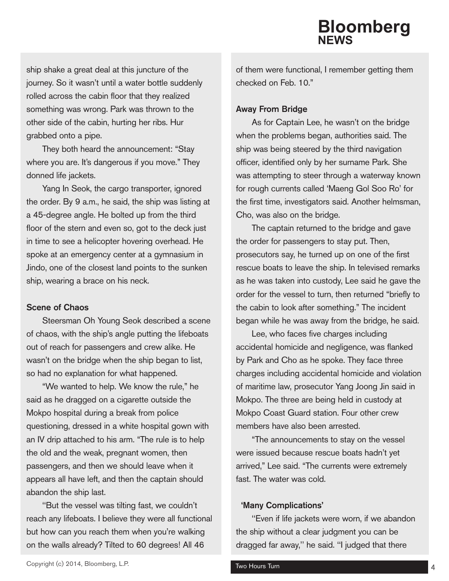ship shake a great deal at this juncture of the journey. So it wasn't until a water bottle suddenly rolled across the cabin floor that they realized something was wrong. Park was thrown to the other side of the cabin, hurting her ribs. Hur grabbed onto a pipe.

They both heard the announcement: "Stay where you are. It's dangerous if you move." They donned life jackets.

Yang In Seok, the cargo transporter, ignored the order. By 9 a.m., he said, the ship was listing at a 45-degree angle. He bolted up from the third floor of the stern and even so, got to the deck just in time to see a helicopter hovering overhead. He spoke at an emergency center at a gymnasium in Jindo, one of the closest land points to the sunken ship, wearing a brace on his neck.

### Scene of Chaos

Steersman Oh Young Seok described a scene of chaos, with the ship's angle putting the lifeboats out of reach for passengers and crew alike. He wasn't on the bridge when the ship began to list, so had no explanation for what happened.

"We wanted to help. We know the rule," he said as he dragged on a cigarette outside the Mokpo hospital during a break from police questioning, dressed in a white hospital gown with an IV drip attached to his arm. "The rule is to help the old and the weak, pregnant women, then passengers, and then we should leave when it appears all have left, and then the captain should abandon the ship last.

''But the vessel was tilting fast, we couldn't reach any lifeboats. I believe they were all functional but how can you reach them when you're walking on the walls already? Tilted to 60 degrees! All 46

of them were functional, I remember getting them checked on Feb. 10."

### Away From Bridge

As for Captain Lee, he wasn't on the bridge when the problems began, authorities said. The ship was being steered by the third navigation officer, identified only by her surname Park. She was attempting to steer through a waterway known for rough currents called 'Maeng Gol Soo Ro' for the first time, investigators said. Another helmsman, Cho, was also on the bridge.

The captain returned to the bridge and gave the order for passengers to stay put. Then, prosecutors say, he turned up on one of the first rescue boats to leave the ship. In televised remarks as he was taken into custody, Lee said he gave the order for the vessel to turn, then returned "briefly to the cabin to look after something." The incident began while he was away from the bridge, he said.

Lee, who faces five charges including accidental homicide and negligence, was flanked by Park and Cho as he spoke. They face three charges including accidental homicide and violation of maritime law, prosecutor Yang Joong Jin said in Mokpo. The three are being held in custody at Mokpo Coast Guard station. Four other crew members have also been arrested.

"The announcements to stay on the vessel were issued because rescue boats hadn't yet arrived," Lee said. "The currents were extremely fast. The water was cold.

### 'Many Complications'

''Even if life jackets were worn, if we abandon the ship without a clear judgment you can be dragged far away,'' he said. ''I judged that there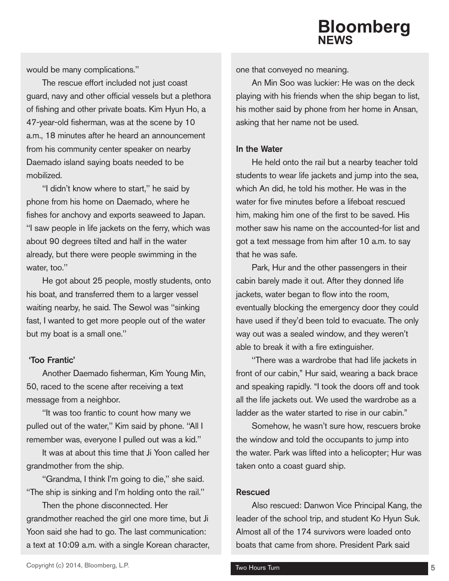would be many complications.''

The rescue effort included not just coast guard, navy and other official vessels but a plethora of fishing and other private boats. Kim Hyun Ho, a 47-year-old fisherman, was at the scene by 10 a.m., 18 minutes after he heard an announcement from his community center speaker on nearby Daemado island saying boats needed to be mobilized.

''I didn't know where to start,'' he said by phone from his home on Daemado, where he fishes for anchovy and exports seaweed to Japan. ''I saw people in life jackets on the ferry, which was about 90 degrees tilted and half in the water already, but there were people swimming in the water, too.''

He got about 25 people, mostly students, onto his boat, and transferred them to a larger vessel waiting nearby, he said. The Sewol was ''sinking fast, I wanted to get more people out of the water but my boat is a small one.''

#### 'Too Frantic'

Another Daemado fisherman, Kim Young Min, 50, raced to the scene after receiving a text message from a neighbor.

''It was too frantic to count how many we pulled out of the water,'' Kim said by phone. ''All I remember was, everyone I pulled out was a kid.''

It was at about this time that Ji Yoon called her grandmother from the ship.

''Grandma, I think I'm going to die,'' she said. ''The ship is sinking and I'm holding onto the rail.''

Then the phone disconnected. Her grandmother reached the girl one more time, but Ji Yoon said she had to go. The last communication: a text at 10:09 a.m. with a single Korean character, one that conveyed no meaning.

An Min Soo was luckier: He was on the deck playing with his friends when the ship began to list, his mother said by phone from her home in Ansan, asking that her name not be used.

#### In the Water

He held onto the rail but a nearby teacher told students to wear life jackets and jump into the sea, which An did, he told his mother. He was in the water for five minutes before a lifeboat rescued him, making him one of the first to be saved. His mother saw his name on the accounted-for list and got a text message from him after 10 a.m. to say that he was safe.

Park, Hur and the other passengers in their cabin barely made it out. After they donned life jackets, water began to flow into the room, eventually blocking the emergency door they could have used if they'd been told to evacuate. The only way out was a sealed window, and they weren't able to break it with a fire extinguisher.

''There was a wardrobe that had life jackets in front of our cabin," Hur said, wearing a back brace and speaking rapidly. "I took the doors off and took all the life jackets out. We used the wardrobe as a ladder as the water started to rise in our cabin."

Somehow, he wasn't sure how, rescuers broke the window and told the occupants to jump into the water. Park was lifted into a helicopter; Hur was taken onto a coast guard ship.

#### Rescued

Also rescued: Danwon Vice Principal Kang, the leader of the school trip, and student Ko Hyun Suk. Almost all of the 174 survivors were loaded onto boats that came from shore. President Park said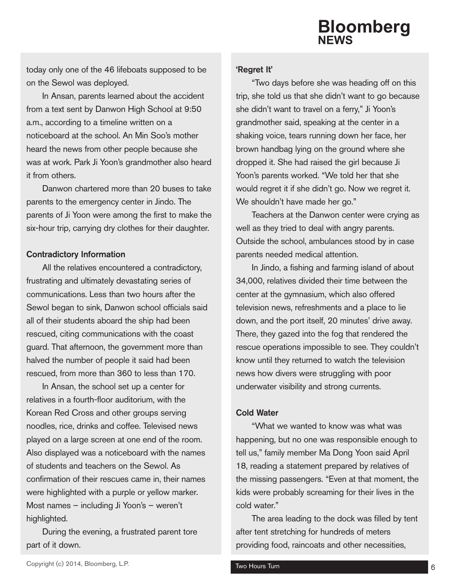today only one of the 46 lifeboats supposed to be on the Sewol was deployed.

In Ansan, parents learned about the accident from a text sent by Danwon High School at 9:50 a.m., according to a timeline written on a noticeboard at the school. An Min Soo's mother heard the news from other people because she was at work. Park Ji Yoon's grandmother also heard it from others.

Danwon chartered more than 20 buses to take parents to the emergency center in Jindo. The parents of Ji Yoon were among the first to make the six-hour trip, carrying dry clothes for their daughter.

### Contradictory Information

All the relatives encountered a contradictory, frustrating and ultimately devastating series of communications. Less than two hours after the Sewol began to sink, Danwon school officials said all of their students aboard the ship had been rescued, citing communications with the coast guard. That afternoon, the government more than halved the number of people it said had been rescued, from more than 360 to less than 170.

In Ansan, the school set up a center for relatives in a fourth-floor auditorium, with the Korean Red Cross and other groups serving noodles, rice, drinks and coffee. Televised news played on a large screen at one end of the room. Also displayed was a noticeboard with the names of students and teachers on the Sewol. As confirmation of their rescues came in, their names were highlighted with a purple or yellow marker. Most names – including Ji Yoon's – weren't highlighted.

During the evening, a frustrated parent tore part of it down.

### 'Regret It'

"Two days before she was heading off on this trip, she told us that she didn't want to go because she didn't want to travel on a ferry," Ji Yoon's grandmother said, speaking at the center in a shaking voice, tears running down her face, her brown handbag lying on the ground where she dropped it. She had raised the girl because Ji Yoon's parents worked. "We told her that she would regret it if she didn't go. Now we regret it. We shouldn't have made her go."

Teachers at the Danwon center were crying as well as they tried to deal with angry parents. Outside the school, ambulances stood by in case parents needed medical attention.

In Jindo, a fishing and farming island of about 34,000, relatives divided their time between the center at the gymnasium, which also offered television news, refreshments and a place to lie down, and the port itself, 20 minutes' drive away. There, they gazed into the fog that rendered the rescue operations impossible to see. They couldn't know until they returned to watch the television news how divers were struggling with poor underwater visibility and strong currents.

### Cold Water

"What we wanted to know was what was happening, but no one was responsible enough to tell us," family member Ma Dong Yoon said April 18, reading a statement prepared by relatives of the missing passengers. "Even at that moment, the kids were probably screaming for their lives in the cold water."

The area leading to the dock was filled by tent after tent stretching for hundreds of meters providing food, raincoats and other necessities,